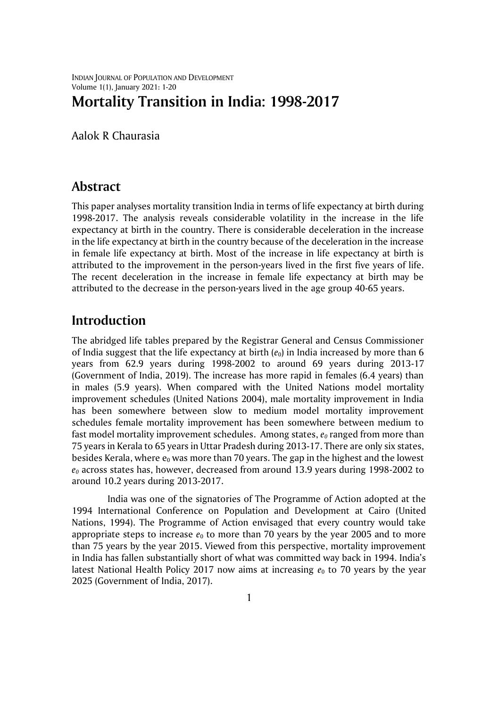INDIAN JOURNAL OF POPULATION AND DEVELOPMENT Volume 1(1), January 2021: 1-20

# **Mortality Transition in India: 1998-2017**

Aalok R Chaurasia

### **Abstract**

This paper analyses mortality transition India in terms of life expectancy at birth during 1998-2017. The analysis reveals considerable volatility in the increase in the life expectancy at birth in the country. There is considerable deceleration in the increase in the life expectancy at birth in the country because of the deceleration in the increase in female life expectancy at birth. Most of the increase in life expectancy at birth is attributed to the improvement in the person-years lived in the first five years of life. The recent deceleration in the increase in female life expectancy at birth may be attributed to the decrease in the person-years lived in the age group 40-65 years.

## **Introduction**

The abridged life tables prepared by the Registrar General and Census Commissioner of India suggest that the life expectancy at birth  $(e_0)$  in India increased by more than 6 years from 62.9 years during 1998-2002 to around 69 years during 2013-17 (Government of India, 2019). The increase has more rapid in females (6.4 years) than in males (5.9 years). When compared with the United Nations model mortality improvement schedules (United Nations 2004), male mortality improvement in India has been somewhere between slow to medium model mortality improvement schedules female mortality improvement has been somewhere between medium to fast model mortality improvement schedules. Among states, *e<sup>0</sup>* ranged from more than 75 years in Kerala to 65 years in Uttar Pradesh during 2013-17. There are only six states, besides Kerala, where  $e_0$  was more than 70 years. The gap in the highest and the lowest *e<sup>0</sup>* across states has, however, decreased from around 13.9 years during 1998-2002 to around 10.2 years during 2013-2017.

India was one of the signatories of The Programme of Action adopted at the 1994 International Conference on Population and Development at Cairo (United Nations, 1994). The Programme of Action envisaged that every country would take appropriate steps to increase  $e_0$  to more than 70 years by the year 2005 and to more than 75 years by the year 2015. Viewed from this perspective, mortality improvement in India has fallen substantially short of what was committed way back in 1994. India's latest National Health Policy 2017 now aims at increasing  $e_0$  to 70 years by the year 2025 (Government of India, 2017).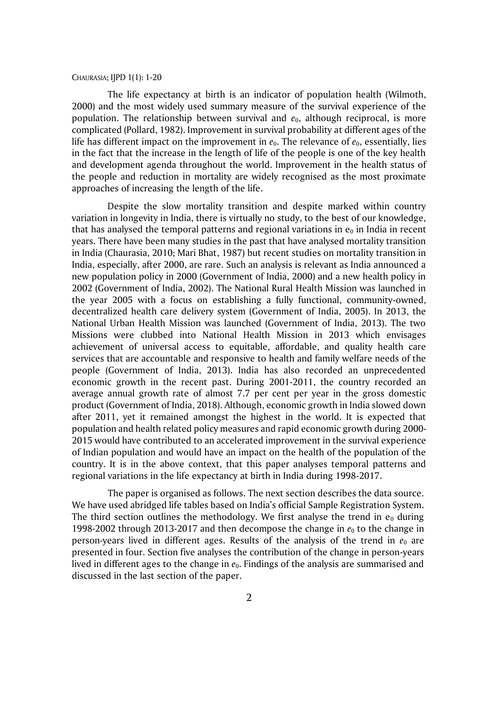The life expectancy at birth is an indicator of population health (Wilmoth, 2000) and the most widely used summary measure of the survival experience of the population. The relationship between survival and  $e<sub>0</sub>$ , although reciprocal, is more complicated (Pollard, 1982). Improvement in survival probability at different ages of the life has different impact on the improvement in  $e_0$ . The relevance of  $e_0$ , essentially, lies in the fact that the increase in the length of life of the people is one of the key health and development agenda throughout the world. Improvement in the health status of the people and reduction in mortality are widely recognised as the most proximate approaches of increasing the length of the life.

Despite the slow mortality transition and despite marked within country variation in longevity in India, there is virtually no study, to the best of our knowledge, that has analysed the temporal patterns and regional variations in  $e_0$  in India in recent years. There have been many studies in the past that have analysed mortality transition in India (Chaurasia, 2010; Mari Bhat, 1987) but recent studies on mortality transition in India, especially, after 2000, are rare. Such an analysis is relevant as India announced a new population policy in 2000 (Government of India, 2000) and a new health policy in 2002 (Government of India, 2002). The National Rural Health Mission was launched in the year 2005 with a focus on establishing a fully functional, community-owned, decentralized health care delivery system (Government of India, 2005). In 2013, the National Urban Health Mission was launched (Government of India, 2013). The two Missions were clubbed into National Health Mission in 2013 which envisages achievement of universal access to equitable, affordable, and quality health care services that are accountable and responsive to health and family welfare needs of the people (Government of India, 2013). India has also recorded an unprecedented economic growth in the recent past. During 2001-2011, the country recorded an average annual growth rate of almost 7.7 per cent per year in the gross domestic product (Government of India, 2018). Although, economic growth in India slowed down after 2011, yet it remained amongst the highest in the world. It is expected that population and health related policy measures and rapid economic growth during 2000- 2015 would have contributed to an accelerated improvement in the survival experience of Indian population and would have an impact on the health of the population of the country. It is in the above context, that this paper analyses temporal patterns and regional variations in the life expectancy at birth in India during 1998-2017.

The paper is organised as follows. The next section describes the data source. We have used abridged life tables based on India's official Sample Registration System. The third section outlines the methodology. We first analyse the trend in  $e_0$  during 1998-2002 through 2013-2017 and then decompose the change in  $e_0$  to the change in person-years lived in different ages. Results of the analysis of the trend in  $e_0$  are presented in four. Section five analyses the contribution of the change in person-years lived in different ages to the change in  $e_0$ . Findings of the analysis are summarised and discussed in the last section of the paper.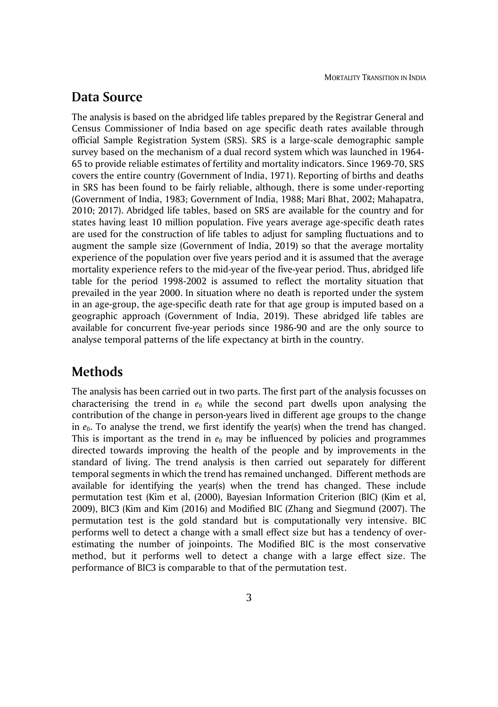### **Data Source**

The analysis is based on the abridged life tables prepared by the Registrar General and Census Commissioner of India based on age specific death rates available through official Sample Registration System (SRS). SRS is a large-scale demographic sample survey based on the mechanism of a dual record system which was launched in 1964- 65 to provide reliable estimates of fertility and mortality indicators. Since 1969-70, SRS covers the entire country (Government of India, 1971). Reporting of births and deaths in SRS has been found to be fairly reliable, although, there is some under-reporting (Government of India, 1983; Government of India, 1988; Mari Bhat, 2002; Mahapatra, 2010; 2017). Abridged life tables, based on SRS are available for the country and for states having least 10 million population. Five years average age-specific death rates are used for the construction of life tables to adjust for sampling fluctuations and to augment the sample size (Government of India, 2019) so that the average mortality experience of the population over five years period and it is assumed that the average mortality experience refers to the mid-year of the five-year period. Thus, abridged life table for the period 1998-2002 is assumed to reflect the mortality situation that prevailed in the year 2000. In situation where no death is reported under the system in an age-group, the age-specific death rate for that age group is imputed based on a geographic approach (Government of India, 2019). These abridged life tables are available for concurrent five-year periods since 1986-90 and are the only source to analyse temporal patterns of the life expectancy at birth in the country.

# **Methods**

The analysis has been carried out in two parts. The first part of the analysis focusses on characterising the trend in  $e_0$  while the second part dwells upon analysing the contribution of the change in person-years lived in different age groups to the change in  $e_0$ . To analyse the trend, we first identify the year(s) when the trend has changed. This is important as the trend in  $e_0$  may be influenced by policies and programmes directed towards improving the health of the people and by improvements in the standard of living. The trend analysis is then carried out separately for different temporal segments in which the trend has remained unchanged. Different methods are available for identifying the year(s) when the trend has changed. These include permutation test (Kim et al, (2000), Bayesian Information Criterion (BIC) (Kim et al, 2009), BIC3 (Kim and Kim (2016) and Modified BIC (Zhang and Siegmund (2007). The permutation test is the gold standard but is computationally very intensive. BIC performs well to detect a change with a small effect size but has a tendency of overestimating the number of joinpoints. The Modified BIC is the most conservative method, but it performs well to detect a change with a large effect size. The performance of BIC3 is comparable to that of the permutation test.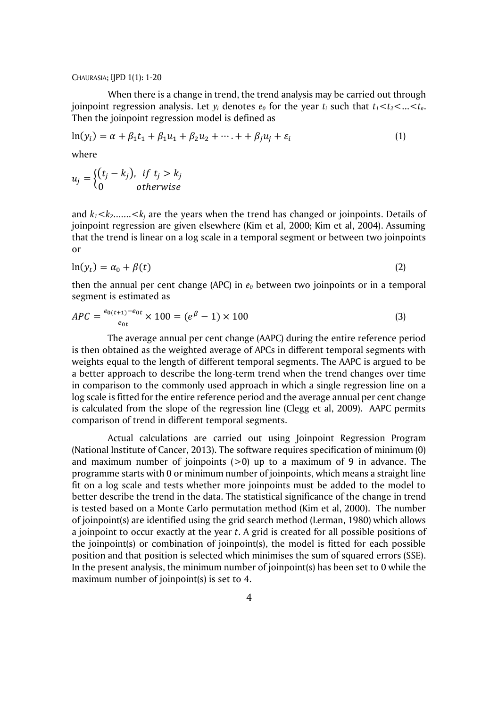When there is a change in trend, the trend analysis may be carried out through joinpoint regression analysis. Let  $y_i$  denotes  $e_0$  for the year  $t_i$  such that  $t_1 < t_2 < ... < t_n$ . Then the joinpoint regression model is defined as

$$
\ln(y_i) = \alpha + \beta_1 t_1 + \beta_1 u_1 + \beta_2 u_2 + \dots + \beta_j u_j + \varepsilon_i
$$
 (1)

where

$$
u_j = \begin{cases} (t_j - k_j), & \text{if } t_j > k_j \\ 0 & \text{otherwise} \end{cases}
$$

and  $k_1 < k_2$ ....... $< k_i$  are the years when the trend has changed or joinpoints. Details of joinpoint regression are given elsewhere (Kim et al, 2000; Kim et al, 2004). Assuming that the trend is linear on a log scale in a temporal segment or between two joinpoints or

$$
\ln(y_t) = \alpha_0 + \beta(t) \tag{2}
$$

then the annual per cent change (APC) in *e<sup>0</sup>* between two joinpoints or in a temporal segment is estimated as

$$
APC = \frac{e_{0(t+1)} - e_{0t}}{e_{0t}} \times 100 = (e^{\beta} - 1) \times 100
$$
\n(3)

The average annual per cent change (AAPC) during the entire reference period is then obtained as the weighted average of APCs in different temporal segments with weights equal to the length of different temporal segments. The AAPC is argued to be a better approach to describe the long-term trend when the trend changes over time in comparison to the commonly used approach in which a single regression line on a log scale is fitted for the entire reference period and the average annual per cent change is calculated from the slope of the regression line (Clegg et al, 2009). AAPC permits comparison of trend in different temporal segments.

Actual calculations are carried out using Joinpoint Regression Program (National Institute of Cancer, 2013). The software requires specification of minimum (0) and maximum number of joinpoints  $(0)$  up to a maximum of 9 in advance. The programme starts with 0 or minimum number of joinpoints, which means a straight line fit on a log scale and tests whether more joinpoints must be added to the model to better describe the trend in the data. The statistical significance of the change in trend is tested based on a Monte Carlo permutation method (Kim et al, 2000). The number of joinpoint(s) are identified using the grid search method (Lerman, 1980) which allows a joinpoint to occur exactly at the year *t*. A grid is created for all possible positions of the joinpoint(s) or combination of joinpoint(s), the model is fitted for each possible position and that position is selected which minimises the sum of squared errors (SSE). In the present analysis, the minimum number of joinpoint(s) has been set to 0 while the maximum number of joinpoint(s) is set to 4.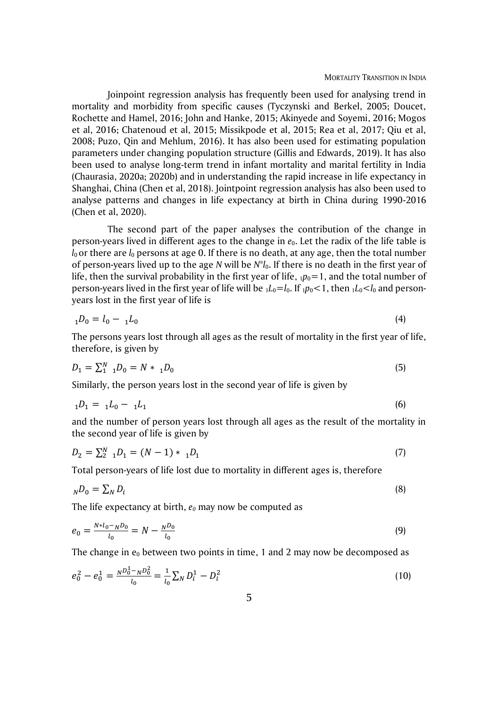Joinpoint regression analysis has frequently been used for analysing trend in mortality and morbidity from specific causes (Tyczynski and Berkel, 2005; Doucet, Rochette and Hamel, 2016; John and Hanke, 2015; Akinyede and Soyemi, 2016; Mogos et al, 2016; Chatenoud et al, 2015; Missikpode et al, 2015; Rea et al, 2017; Qiu et al, 2008; Puzo, Qin and Mehlum, 2016). It has also been used for estimating population parameters under changing population structure (Gillis and Edwards, 2019). It has also been used to analyse long-term trend in infant mortality and marital fertility in India (Chaurasia, 2020a; 2020b) and in understanding the rapid increase in life expectancy in Shanghai, China (Chen et al, 2018). Jointpoint regression analysis has also been used to analyse patterns and changes in life expectancy at birth in China during 1990-2016 (Chen et al, 2020).

The second part of the paper analyses the contribution of the change in person-years lived in different ages to the change in *e*0. Let the radix of the life table is  $l_0$  or there are  $l_0$  persons at age 0. If there is no death, at any age, then the total number of person-years lived up to the age *N* will be *N*\**l*0. If there is no death in the first year of life, then the survival probability in the first year of life,  $_1p_0=1$ , and the total number of person-years lived in the first year of life will be  $_1L_0=I_0$ . If  $_1p_0<1$ , then  $_1L_0< I_0$  and personyears lost in the first year of life is

$$
{}_{1}D_{0} = l_{0} - {}_{1}L_{0} \tag{4}
$$

The persons years lost through all ages as the result of mortality in the first year of life, therefore, is given by

$$
D_1 = \sum_{1}^{N} {}_{1}D_0 = N * {}_{1}D_0 \tag{5}
$$

Similarly, the person years lost in the second year of life is given by

$$
{}_{1}D_{1} = {}_{1}L_{0} - {}_{1}L_{1} \tag{6}
$$

and the number of person years lost through all ages as the result of the mortality in the second year of life is given by

$$
D_2 = \sum_{1}^{N} {}_{1}D_1 = (N - 1) * {}_{1}D_1
$$
\n<sup>(7)</sup>

Total person-years of life lost due to mortality in different ages is, therefore

$$
_ND_0=\sum_N D_i\tag{8}
$$

The life expectancy at birth, *e<sup>0</sup>* may now be computed as

$$
e_0 = \frac{N^{\mu} l_0 - N^{\mu} l_0}{l_0} = N - \frac{N^{\mu} l_0}{l_0}
$$
\n(9)

The change in  $e_0$  between two points in time, 1 and 2 may now be decomposed as

$$
e_0^2 - e_0^1 = \frac{N D_0^1 - N D_0^2}{l_0} = \frac{1}{l_0} \sum_N D_i^1 - D_i^2
$$
 (10)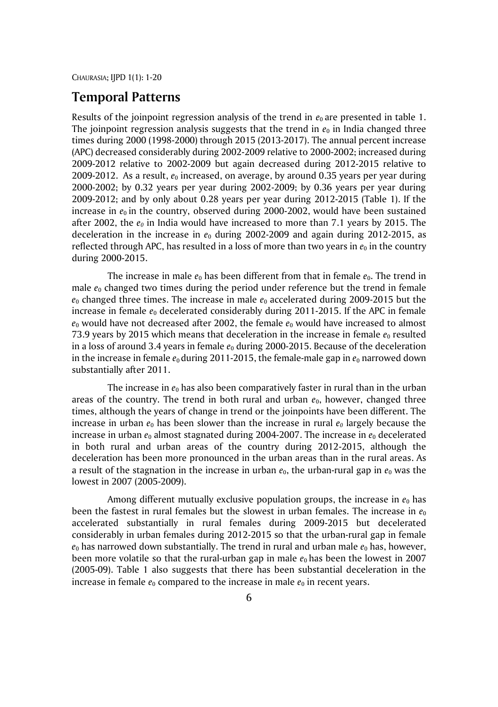# **Temporal Patterns**

Results of the joinpoint regression analysis of the trend in  $e_0$  are presented in table 1. The joinpoint regression analysis suggests that the trend in  $e_0$  in India changed three times during 2000 (1998-2000) through 2015 (2013-2017). The annual percent increase (APC) decreased considerably during 2002-2009 relative to 2000-2002; increased during 2009-2012 relative to 2002-2009 but again decreased during 2012-2015 relative to 2009-2012. As a result, *e*<sup>0</sup> increased, on average, by around 0.35 years per year during 2000-2002; by 0.32 years per year during 2002-2009; by 0.36 years per year during 2009-2012; and by only about 0.28 years per year during 2012-2015 (Table 1). If the increase in  $e_0$  in the country, observed during 2000-2002, would have been sustained after 2002, the *e<sup>0</sup>* in India would have increased to more than 7.1 years by 2015. The deceleration in the increase in *e*<sup>0</sup> during 2002-2009 and again during 2012-2015, as reflected through APC, has resulted in a loss of more than two years in  $e_0$  in the country during 2000-2015.

The increase in male  $e_0$  has been different from that in female  $e_0$ . The trend in male  $e_0$  changed two times during the period under reference but the trend in female *e*<sub>0</sub> changed three times. The increase in male  $e_0$  accelerated during 2009-2015 but the increase in female  $e_0$  decelerated considerably during 2011-2015. If the APC in female  $e_0$  would have not decreased after 2002, the female  $e_0$  would have increased to almost 73.9 years by 2015 which means that deceleration in the increase in female  $e_0$  resulted in a loss of around 3.4 years in female  $e_0$  during 2000-2015. Because of the deceleration in the increase in female  $e_0$  during 2011-2015, the female-male gap in  $e_0$  narrowed down substantially after 2011.

The increase in  $e_0$  has also been comparatively faster in rural than in the urban areas of the country. The trend in both rural and urban  $e_0$ , however, changed three times, although the years of change in trend or the joinpoints have been different. The increase in urban  $e_0$  has been slower than the increase in rural  $e_0$  largely because the increase in urban  $e_0$  almost stagnated during 2004-2007. The increase in  $e_0$  decelerated in both rural and urban areas of the country during 2012-2015, although the deceleration has been more pronounced in the urban areas than in the rural areas. As a result of the stagnation in the increase in urban  $e_0$ , the urban-rural gap in  $e_0$  was the lowest in 2007 (2005-2009).

Among different mutually exclusive population groups, the increase in  $e_0$  has been the fastest in rural females but the slowest in urban females. The increase in  $e_0$ accelerated substantially in rural females during 2009-2015 but decelerated considerably in urban females during 2012-2015 so that the urban-rural gap in female  $e_0$  has narrowed down substantially. The trend in rural and urban male  $e_0$  has, however, been more volatile so that the rural-urban gap in male  $e_0$  has been the lowest in 2007 (2005-09). Table 1 also suggests that there has been substantial deceleration in the increase in female  $e_0$  compared to the increase in male  $e_0$  in recent years.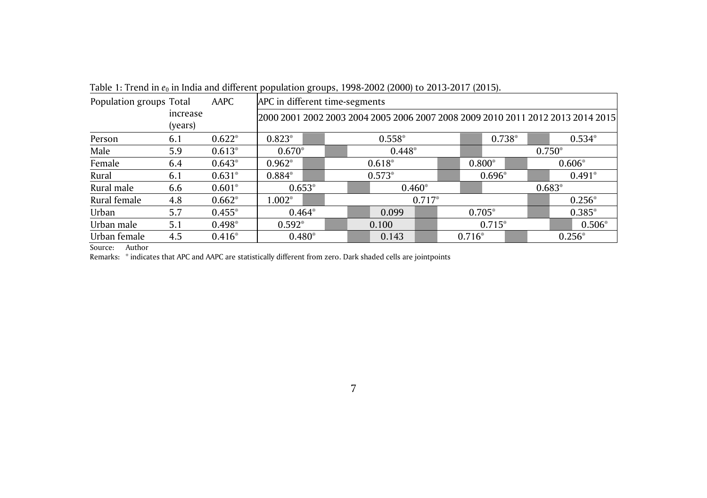| Population groups Total |                     | AAPC     | APC in different time-segments |                               |                                                                                 |          |          |          |          |          |  |  |
|-------------------------|---------------------|----------|--------------------------------|-------------------------------|---------------------------------------------------------------------------------|----------|----------|----------|----------|----------|--|--|
|                         | increase<br>(years) |          |                                |                               | 2000 2001 2002 2003 2004 2005 2006 2007 2008 2009 2010 2011 2012 2013 2014 2015 |          |          |          |          |          |  |  |
| Person                  | 6.1                 | $0.622*$ | $0.823*$<br>$0.558*$           |                               |                                                                                 |          |          | $0.738*$ |          | $0.534*$ |  |  |
| Male                    | 5.9                 | $0.613*$ | $0.670*$<br>$0.448*$           |                               |                                                                                 |          |          |          | $0.750*$ |          |  |  |
| Female                  | 6.4                 | $0.643*$ | $0.962*$                       |                               | $0.618*$                                                                        |          |          | $0.800*$ |          | $0.606*$ |  |  |
| Rural                   | 6.1                 | $0.631*$ | $0.884*$                       |                               | $0.573*$                                                                        |          |          | $0.696*$ |          | $0.491*$ |  |  |
| Rural male              | 6.6                 | $0.601*$ |                                | $0.653*$                      | $0.460*$                                                                        |          |          |          | $0.683*$ |          |  |  |
| Rural female            | 4.8                 | $0.662*$ | $1.002*$                       |                               |                                                                                 | $0.717*$ |          |          |          | $0.256*$ |  |  |
| Urban                   | 5.7                 | $0.455*$ |                                | $0.464*$                      | 0.099                                                                           |          | $0.705*$ |          |          | $0.385*$ |  |  |
| Urban male              | 5.1                 | $0.498*$ | $0.592*$                       | 0.100                         |                                                                                 | $0.715*$ |          |          | $0.506*$ |          |  |  |
| Urban female            | 4.5                 | $0.416*$ |                                | $0.480*$<br>0.143<br>$0.716*$ |                                                                                 |          |          |          | $0.256*$ |          |  |  |

Table 1: Trend in  $e_0$  in India and different population groups, 1998-2002 (2000) to 2013-2017 (2015).

Source: Author

Remarks: \* indicates that APC and AAPC are statistically different from zero. Dark shaded cells are jointpoints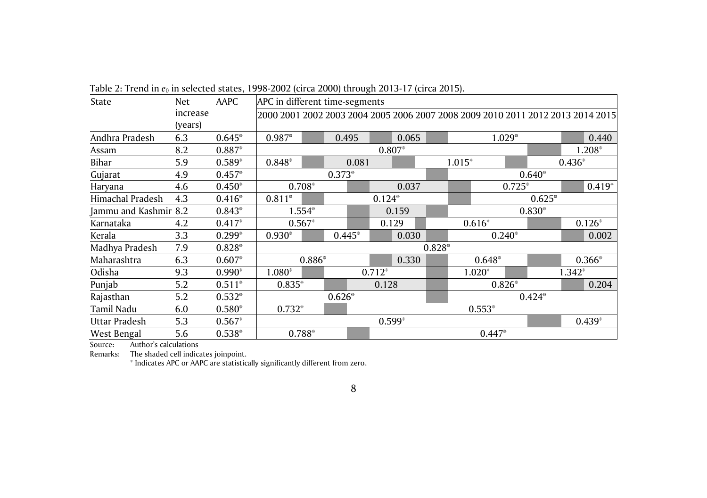| State                 | Net.     | AAPC     | APC in different time-segments                                                  |          |          |       |          |       |          |        |          |          |          |          |          |
|-----------------------|----------|----------|---------------------------------------------------------------------------------|----------|----------|-------|----------|-------|----------|--------|----------|----------|----------|----------|----------|
|                       | increase |          | 2000 2001 2002 2003 2004 2005 2006 2007 2008 2009 2010 2011 2012 2013 2014 2015 |          |          |       |          |       |          |        |          |          |          |          |          |
|                       | (years)  |          |                                                                                 |          |          |       |          |       |          |        |          |          |          |          |          |
| Andhra Pradesh        | 6.3      | $0.645*$ | 0.987*                                                                          |          | 0.495    |       |          | 0.065 |          |        |          | $1.029*$ |          |          | 0.440    |
| Assam                 | 8.2      | 0.887*   |                                                                                 |          |          |       | $0.807*$ |       |          |        |          |          |          |          | 1.208*   |
| Bihar                 | 5.9      | $0.589*$ | 0.848*                                                                          |          |          | 0.081 |          |       |          | 1.015* |          |          |          | $0.436*$ |          |
| Gujarat               | 4.9      | $0.457*$ |                                                                                 |          | $0.373*$ |       |          |       |          |        |          |          | $0.640*$ |          |          |
| Haryana               | 4.6      | $0.450*$ |                                                                                 | $0.708*$ |          |       |          | 0.037 |          |        |          | $0.725*$ |          |          | $0.419*$ |
| Himachal Pradesh      | 4.3      | $0.416*$ | $0.811*$                                                                        |          |          |       | $0.124*$ |       |          |        |          |          | $0.625*$ |          |          |
| Jammu and Kashmir 8.2 |          | $0.843*$ |                                                                                 | 1.554*   |          |       |          | 0.159 |          |        | $0.830*$ |          |          |          |          |
| Karnataka             | 4.2      | $0.417*$ |                                                                                 | $0.567*$ |          |       | 0.129    |       |          |        | $0.616*$ |          |          | $0.126*$ |          |
| Kerala                | 3.3      | $0.299*$ | $0.930*$                                                                        |          | $0.445*$ |       |          | 0.030 |          |        |          | $0.240*$ |          |          | 0.002    |
| Madhya Pradesh        | 7.9      | $0.828*$ |                                                                                 |          |          |       |          |       | $0.828*$ |        |          |          |          |          |          |
| Maharashtra           | 6.3      | $0.607*$ |                                                                                 | $0.886*$ |          |       |          | 0.330 |          |        | $0.648*$ |          |          |          | 0.366*   |
| Odisha                | 9.3      | $0.990*$ | 1.080*                                                                          |          |          |       | $0.712*$ |       |          |        | $1.020*$ |          |          | $1.342*$ |          |
| Punjab                | 5.2      | $0.511*$ | $0.835*$                                                                        |          |          |       | 0.128    |       |          |        |          | $0.826*$ |          |          | 0.204    |
| Rajasthan             | 5.2      | $0.532*$ |                                                                                 |          | $0.626*$ |       |          |       |          |        |          |          | $0.424*$ |          |          |
| Tamil Nadu            | 6.0      | $0.580*$ | $0.732*$                                                                        |          |          |       |          |       |          |        | $0.553*$ |          |          |          |          |
| Uttar Pradesh         | 5.3      | $0.567*$ |                                                                                 |          |          |       | $0.599*$ |       |          |        |          |          |          |          | $0.439*$ |
| West Bengal           | 5.6      | $0.538*$ |                                                                                 | 0.788*   |          |       |          |       |          |        | 0.447*   |          |          |          |          |

Table 2: Trend in  $e_0$  in selected states, 1998-2002 (circa 2000) through 2013-17 (circa 2015).

Source: Author's calculations<br>Remarks: The shaded cell indica

Remarks: The shaded cell indicates joinpoint.

\* Indicates APC or AAPC are statistically significantly different from zero.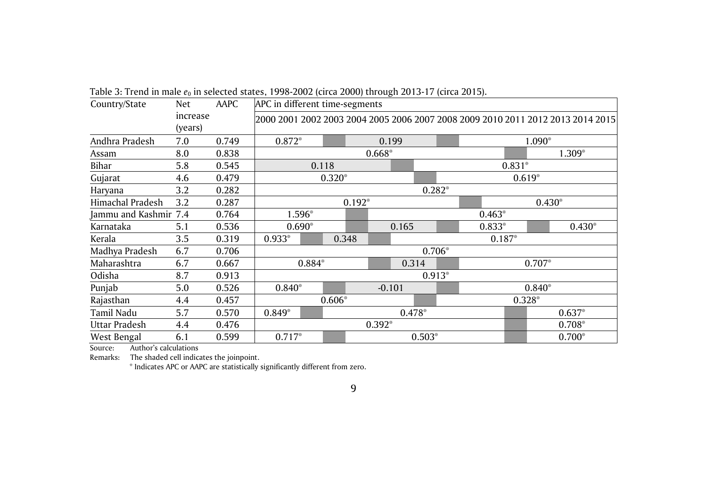| Country/State         | <b>Net</b>          | AAPC  | APC in different time-segments   |                                                                                 |       |  |          |  |          |          |          |          |
|-----------------------|---------------------|-------|----------------------------------|---------------------------------------------------------------------------------|-------|--|----------|--|----------|----------|----------|----------|
|                       | increase<br>(years) |       |                                  | 2000 2001 2002 2003 2004 2005 2006 2007 2008 2009 2010 2011 2012 2013 2014 2015 |       |  |          |  |          |          |          |          |
| Andhra Pradesh        | 7.0                 | 0.749 | $0.872*$                         | 0.199<br>1.090*                                                                 |       |  |          |  |          |          |          |          |
| Assam                 | 8.0                 | 0.838 |                                  | $0.668*$<br>$1.309*$                                                            |       |  |          |  |          |          |          |          |
| Bihar                 | 5.8                 | 0.545 |                                  | 0.118                                                                           |       |  |          |  |          | $0.831*$ |          |          |
| Gujarat               | 4.6                 | 0.479 |                                  | $0.320*$                                                                        |       |  |          |  |          | $0.619*$ |          |          |
| Haryana               | 3.2                 | 0.282 |                                  | $0.282*$                                                                        |       |  |          |  |          |          |          |          |
| Himachal Pradesh      | 3.2                 | 0.287 |                                  | $0.192*$<br>$0.430*$                                                            |       |  |          |  |          |          |          |          |
| Jammu and Kashmir 7.4 |                     | 0.764 | 1.596*<br>$0.463*$               |                                                                                 |       |  |          |  |          |          |          |          |
| Karnataka             | 5.1                 | 0.536 | $0.690*$                         |                                                                                 |       |  | 0.165    |  | $0.833*$ |          |          | $0.430*$ |
| Kerala                | 3.5                 | 0.319 | $0.933*$                         |                                                                                 | 0.348 |  |          |  | $0.187*$ |          |          |          |
| Madhya Pradesh        | 6.7                 | 0.706 |                                  |                                                                                 |       |  | $0.706*$ |  |          |          |          |          |
| Maharashtra           | 6.7                 | 0.667 | 0.884*                           |                                                                                 |       |  | 0.314    |  |          |          | $0.707*$ |          |
| Odisha                | 8.7                 | 0.913 |                                  |                                                                                 |       |  | $0.913*$ |  |          |          |          |          |
| Punjab                | 5.0                 | 0.526 | $0.840*$                         |                                                                                 |       |  | $-0.101$ |  |          |          | $0.840*$ |          |
| Rajasthan             | 4.4                 | 0.457 | $0.606*$<br>$0.328*$             |                                                                                 |       |  |          |  |          |          |          |          |
| Tamil Nadu            | 5.7                 | 0.570 | $0.849*$<br>0.478*<br>$0.637*$   |                                                                                 |       |  |          |  |          |          |          |          |
| Uttar Pradesh         | 4.4                 | 0.476 | $0.392*$<br>$0.708*$             |                                                                                 |       |  |          |  |          |          |          |          |
| West Bengal           | 6.1                 | 0.599 | $0.717*$<br>$0.503*$<br>$0.700*$ |                                                                                 |       |  |          |  |          |          |          |          |

Table 3: Trend in male  $e_0$  in selected states, 1998-2002 (circa 2000) through 2013-17 (circa 2015).

Source: Author's calculations

Remarks: The shaded cell indicates the joinpoint.

\* Indicates APC or AAPC are statistically significantly different from zero.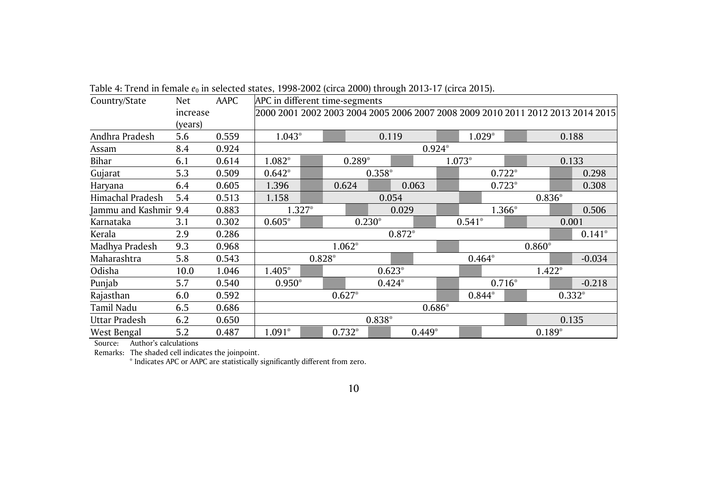| Country/State         | Net.     | AAPC  |                                              | APC in different time-segments         |          |          |                                                                                 |  |          |          |          |          |          |
|-----------------------|----------|-------|----------------------------------------------|----------------------------------------|----------|----------|---------------------------------------------------------------------------------|--|----------|----------|----------|----------|----------|
|                       | increase |       |                                              |                                        |          |          | 2000 2001 2002 2003 2004 2005 2006 2007 2008 2009 2010 2011 2012 2013 2014 2015 |  |          |          |          |          |          |
|                       | (years)  |       |                                              |                                        |          |          |                                                                                 |  |          |          |          |          |          |
| Andhra Pradesh        | 5.6      | 0.559 |                                              | $1.029*$<br>$1.043*$<br>0.119<br>0.188 |          |          |                                                                                 |  |          |          |          |          |          |
| Assam                 | 8.4      | 0.924 |                                              | $0.924*$                               |          |          |                                                                                 |  |          |          |          |          |          |
| Bihar                 | 6.1      | 0.614 | 1.082*                                       |                                        |          | $0.289*$ |                                                                                 |  | $1.073*$ |          |          |          | 0.133    |
| Gujarat               | 5.3      | 0.509 | $0.642*$                                     |                                        |          | $0.358*$ |                                                                                 |  |          | $0.722*$ |          |          | 0.298    |
| Haryana               | 6.4      | 0.605 | 1.396                                        |                                        | 0.624    |          | 0.063                                                                           |  |          | $0.723*$ |          |          | 0.308    |
| Himachal Pradesh      | 5.4      | 0.513 | 1.158                                        | 0.054<br>$0.836*$                      |          |          |                                                                                 |  |          |          |          |          |          |
| Jammu and Kashmir 9.4 |          | 0.883 | 1.327*<br>0.029                              |                                        |          |          | 1.366*                                                                          |  |          | 0.506    |          |          |          |
| Karnataka             | 3.1      | 0.302 | $0.605*$                                     |                                        |          | $0.230*$ |                                                                                 |  | $0.541*$ |          |          | 0.001    |          |
| Kerala                | 2.9      | 0.286 |                                              |                                        |          |          | $0.872*$                                                                        |  |          |          |          |          | $0.141*$ |
| Madhya Pradesh        | 9.3      | 0.968 |                                              |                                        | $1.062*$ |          |                                                                                 |  |          |          | $0.860*$ |          |          |
| Maharashtra           | 5.8      | 0.543 |                                              | 0.828*                                 |          |          |                                                                                 |  | $0.464*$ |          |          |          | $-0.034$ |
| Odisha                | 10.0     | 1.046 | 1.405*                                       |                                        |          |          | $0.623*$                                                                        |  |          |          |          | $1.422*$ |          |
| Punjab                | 5.7      | 0.540 | $0.950*$                                     |                                        |          |          | $0.424*$                                                                        |  |          | $0.716*$ |          |          | $-0.218$ |
| Rajasthan             | 6.0      | 0.592 |                                              |                                        | $0.627*$ |          |                                                                                 |  | 0.844*   |          |          |          | $0.332*$ |
| Tamil Nadu            | 6.5      | 0.686 | $0.686*$                                     |                                        |          |          |                                                                                 |  |          |          |          |          |          |
| Uttar Pradesh         | 6.2      | 0.650 |                                              |                                        |          | 0.838*   |                                                                                 |  |          |          |          |          | 0.135    |
| West Bengal           | 5.2      | 0.487 | $1.091*$<br>$0.732*$<br>$0.449*$<br>$0.189*$ |                                        |          |          |                                                                                 |  |          |          |          |          |          |

Table 4: Trend in female  $e_0$  in selected states, 1998-2002 (circa 2000) through 2013-17 (circa 2015).

Source: Author's calculations

Remarks: The shaded cell indicates the joinpoint.

\* Indicates APC or AAPC are statistically significantly different from zero.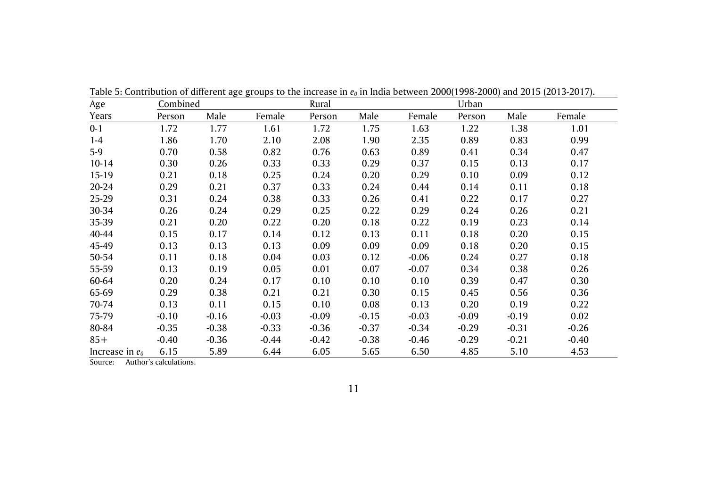| Age               | Combined |         |         | Rural   |         |         | Urban   |         |         |
|-------------------|----------|---------|---------|---------|---------|---------|---------|---------|---------|
| Years             | Person   | Male    | Female  | Person  | Male    | Female  | Person  | Male    | Female  |
| $0 - 1$           | 1.72     | 1.77    | 1.61    | 1.72    | 1.75    | 1.63    | 1.22    | 1.38    | 1.01    |
| $1-4$             | 1.86     | 1.70    | 2.10    | 2.08    | 1.90    | 2.35    | 0.89    | 0.83    | 0.99    |
| $5-9$             | 0.70     | 0.58    | 0.82    | 0.76    | 0.63    | 0.89    | 0.41    | 0.34    | 0.47    |
| $10 - 14$         | 0.30     | 0.26    | 0.33    | 0.33    | 0.29    | 0.37    | 0.15    | 0.13    | 0.17    |
| $15-19$           | 0.21     | 0.18    | 0.25    | 0.24    | 0.20    | 0.29    | 0.10    | 0.09    | 0.12    |
| 20-24             | 0.29     | 0.21    | 0.37    | 0.33    | 0.24    | 0.44    | 0.14    | 0.11    | 0.18    |
| 25-29             | 0.31     | 0.24    | 0.38    | 0.33    | 0.26    | 0.41    | 0.22    | 0.17    | 0.27    |
| 30-34             | 0.26     | 0.24    | 0.29    | 0.25    | 0.22    | 0.29    | 0.24    | 0.26    | 0.21    |
| 35-39             | 0.21     | 0.20    | 0.22    | 0.20    | 0.18    | 0.22    | 0.19    | 0.23    | 0.14    |
| 40-44             | 0.15     | 0.17    | 0.14    | 0.12    | 0.13    | 0.11    | 0.18    | 0.20    | 0.15    |
| 45-49             | 0.13     | 0.13    | 0.13    | 0.09    | 0.09    | 0.09    | 0.18    | 0.20    | 0.15    |
| 50-54             | 0.11     | 0.18    | 0.04    | 0.03    | 0.12    | $-0.06$ | 0.24    | 0.27    | 0.18    |
| 55-59             | 0.13     | 0.19    | 0.05    | 0.01    | 0.07    | $-0.07$ | 0.34    | 0.38    | 0.26    |
| 60-64             | 0.20     | 0.24    | 0.17    | 0.10    | 0.10    | 0.10    | 0.39    | 0.47    | 0.30    |
| 65-69             | 0.29     | 0.38    | 0.21    | 0.21    | 0.30    | 0.15    | 0.45    | 0.56    | 0.36    |
| 70-74             | 0.13     | 0.11    | 0.15    | 0.10    | 0.08    | 0.13    | 0.20    | 0.19    | 0.22    |
| 75-79             | $-0.10$  | $-0.16$ | $-0.03$ | $-0.09$ | $-0.15$ | $-0.03$ | $-0.09$ | $-0.19$ | 0.02    |
| 80-84             | $-0.35$  | $-0.38$ | $-0.33$ | $-0.36$ | $-0.37$ | $-0.34$ | $-0.29$ | $-0.31$ | $-0.26$ |
| $85+$             | $-0.40$  | $-0.36$ | $-0.44$ | $-0.42$ | $-0.38$ | $-0.46$ | $-0.29$ | $-0.21$ | $-0.40$ |
| Increase in $e_0$ | 6.15     | 5.89    | 6.44    | 6.05    | 5.65    | 6.50    | 4.85    | 5.10    | 4.53    |

Table 5: Contribution of different age groups to the increase in *e<sup>0</sup>* in India between 2000(1998-2000) and 2015 (2013-2017).

Source: Author's calculations.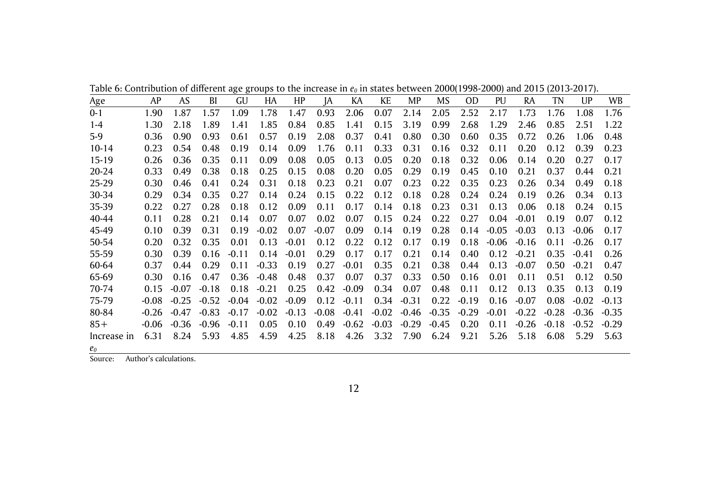|  |  |  |  | Table 6: Contribution of different age groups to the increase in $e_0$ in states between 2000(1998-2000) and 2015 (2013-2017). |  |  |
|--|--|--|--|--------------------------------------------------------------------------------------------------------------------------------|--|--|
|  |  |  |  |                                                                                                                                |  |  |

| <u>Age</u>  | AP      | AS      | BI      | GU      | HA      | HP.     | IA      | KA      | KE      | MP      | MS      | 0D      | PU      | RA      | TN      | UP      | <b>WB</b> |
|-------------|---------|---------|---------|---------|---------|---------|---------|---------|---------|---------|---------|---------|---------|---------|---------|---------|-----------|
| $0 - 1$     | 1.90    | 1.87    | 1.57    | 1.09    | 1.78    | 1.47    | 0.93    | 2.06    | 0.07    | 2.14    | 2.05    | 2.52    | 2.17    | 1.73    | 1.76    | 1.08    | 1.76      |
| $1 - 4$     | 1.30    | 2.18    | 1.89    | 1.41    | 1.85    | 0.84    | 0.85    | 1.41    | 0.15    | 3.19    | 0.99    | 2.68    | 1.29    | 2.46    | 0.85    | 2.51    | 1.22      |
| $5-9$       | 0.36    | 0.90    | 0.93    | 0.61    | 0.57    | 0.19    | 2.08    | 0.37    | 0.41    | 0.80    | 0.30    | 0.60    | 0.35    | 0.72    | 0.26    | 1.06    | 0.48      |
| $10-14$     | 0.23    | 0.54    | 0.48    | 0.19    | 0.14    | 0.09    | 1.76    | 0.11    | 0.33    | 0.31    | 0.16    | 0.32    | 0.11    | 0.20    | 0.12    | 0.39    | 0.23      |
| 15-19       | 0.26    | 0.36    | 0.35    | 0.11    | 0.09    | 0.08    | 0.05    | 0.13    | 0.05    | 0.20    | 0.18    | 0.32    | 0.06    | 0.14    | 0.20    | 0.27    | 0.17      |
| 20-24       | 0.33    | 0.49    | 0.38    | 0.18    | 0.25    | 0.15    | 0.08    | 0.20    | 0.05    | 0.29    | 0.19    | 0.45    | 0.10    | 0.21    | 0.37    | 0.44    | 0.21      |
| 25-29       | 0.30    | 0.46    | 0.41    | 0.24    | 0.31    | 0.18    | 0.23    | 0.21    | 0.07    | 0.23    | 0.22    | 0.35    | 0.23    | 0.26    | 0.34    | 0.49    | 0.18      |
| 30-34       | 0.29    | 0.34    | 0.35    | 0.27    | 0.14    | 0.24    | 0.15    | 0.22    | 0.12    | 0.18    | 0.28    | 0.24    | 0.24    | 0.19    | 0.26    | 0.34    | 0.13      |
| 35-39       | 0.22    | 0.27    | 0.28    | 0.18    | 0.12    | 0.09    | 0.11    | 0.17    | 0.14    | 0.18    | 0.23    | 0.31    | 0.13    | 0.06    | 0.18    | 0.24    | 0.15      |
| 40-44       | 0.11    | 0.28    | 0.21    | 0.14    | 0.07    | 0.07    | 0.02    | 0.07    | 0.15    | 0.24    | 0.22    | 0.27    | 0.04    | $-0.01$ | 0.19    | 0.07    | 0.12      |
| 45-49       | 0.10    | 0.39    | 0.31    | 0.19    | $-0.02$ | 0.07    | $-0.07$ | 0.09    | 0.14    | 0.19    | 0.28    | 0.14    | $-0.05$ | $-0.03$ | 0.13    | $-0.06$ | 0.17      |
| 50-54       | 0.20    | 0.32    | 0.35    | 0.01    | 0.13    | $-0.01$ | 0.12    | 0.22    | 0.12    | 0.17    | 0.19    | 0.18    | $-0.06$ | $-0.16$ | 0.11    | $-0.26$ | 0.17      |
| 55-59       | 0.30    | 0.39    | 0.16    | $-0.11$ | 0.14    | $-0.01$ | 0.29    | 0.17    | 0.17    | 0.21    | 0.14    | 0.40    | 0.12    | $-0.21$ | 0.35    | $-0.41$ | 0.26      |
| 60-64       | 0.37    | 0.44    | 0.29    | 0.11    | $-0.33$ | 0.19    | 0.27    | $-0.01$ | 0.35    | 0.21    | 0.38    | 0.44    | 0.13    | $-0.07$ | 0.50    | $-0.21$ | 0.47      |
| 65-69       | 0.30    | 0.16    | 0.47    | 0.36    | $-0.48$ | 0.48    | 0.37    | 0.07    | 0.37    | 0.33    | 0.50    | 0.16    | 0.01    | 0.11    | 0.51    | 0.12    | 0.50      |
| 70-74       | 0.15    | $-0.07$ | $-0.18$ | 0.18    | $-0.21$ | 0.25    | 0.42    | $-0.09$ | 0.34    | 0.07    | 0.48    | 0.11    | 0.12    | 0.13    | 0.35    | 0.13    | 0.19      |
| 75-79       | $-0.08$ | $-0.25$ | $-0.52$ | $-0.04$ | $-0.02$ | $-0.09$ | 0.12    | $-0.11$ | 0.34    | $-0.31$ | 0.22    | $-0.19$ | 0.16    | $-0.07$ | 0.08    | $-0.02$ | $-0.13$   |
| 80-84       | $-0.26$ | $-0.47$ | $-0.83$ | $-0.17$ | $-0.02$ | $-0.13$ | $-0.08$ | $-0.41$ | $-0.02$ | $-0.46$ | $-0.35$ | $-0.29$ | $-0.01$ | $-0.22$ | $-0.28$ | $-0.36$ | $-0.35$   |
| $85+$       | $-0.06$ | $-0.36$ | $-0.96$ | $-0.11$ | 0.05    | 0.10    | 0.49    | $-0.62$ | $-0.03$ | $-0.29$ | $-0.45$ | 0.20    | 0.11    | $-0.26$ | $-0.18$ | $-0.52$ | $-0.29$   |
| Increase in | 6.31    | 8.24    | 5.93    | 4.85    | 4.59    | 4.25    | 8.18    | 4.26    | 3.32    | 7.90    | 6.24    | 9.21    | 5.26    | 5.18    | 6.08    | 5.29    | 5.63      |
| $e_0$       |         |         |         |         |         |         |         |         |         |         |         |         |         |         |         |         |           |

Source: Author's calculations.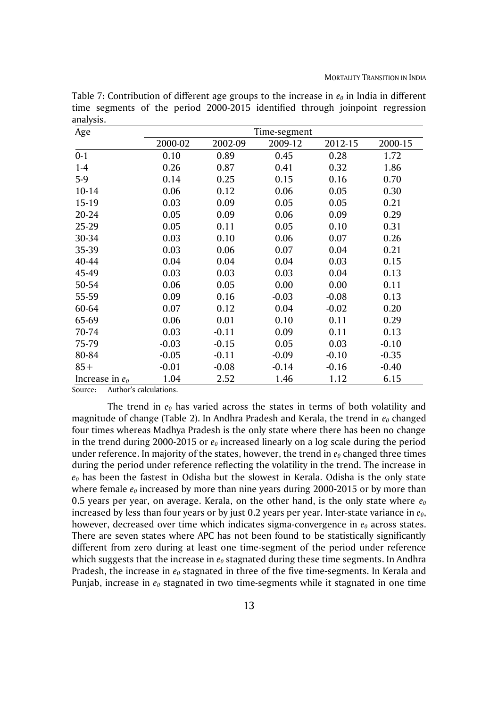| Age               |         |         | Time-segment |         |         |
|-------------------|---------|---------|--------------|---------|---------|
|                   | 2000-02 | 2002-09 | 2009-12      | 2012-15 | 2000-15 |
| $0 - 1$           | 0.10    | 0.89    | 0.45         | 0.28    | 1.72    |
| $1 - 4$           | 0.26    | 0.87    | 0.41         | 0.32    | 1.86    |
| $5-9$             | 0.14    | 0.25    | 0.15         | 0.16    | 0.70    |
| $10 - 14$         | 0.06    | 0.12    | 0.06         | 0.05    | 0.30    |
| 15-19             | 0.03    | 0.09    | 0.05         | 0.05    | 0.21    |
| 20-24             | 0.05    | 0.09    | 0.06         | 0.09    | 0.29    |
| 25-29             | 0.05    | 0.11    | 0.05         | 0.10    | 0.31    |
| 30-34             | 0.03    | 0.10    | 0.06         | 0.07    | 0.26    |
| 35-39             | 0.03    | 0.06    | 0.07         | 0.04    | 0.21    |
| 40-44             | 0.04    | 0.04    | 0.04         | 0.03    | 0.15    |
| 45-49             | 0.03    | 0.03    | 0.03         | 0.04    | 0.13    |
| 50-54             | 0.06    | 0.05    | 0.00         | 0.00    | 0.11    |
| 55-59             | 0.09    | 0.16    | $-0.03$      | $-0.08$ | 0.13    |
| 60-64             | 0.07    | 0.12    | 0.04         | $-0.02$ | 0.20    |
| 65-69             | 0.06    | 0.01    | 0.10         | 0.11    | 0.29    |
| 70-74             | 0.03    | $-0.11$ | 0.09         | 0.11    | 0.13    |
| 75-79             | $-0.03$ | $-0.15$ | 0.05         | 0.03    | $-0.10$ |
| 80-84             | $-0.05$ | $-0.11$ | $-0.09$      | $-0.10$ | $-0.35$ |
| $85+$             | $-0.01$ | $-0.08$ | $-0.14$      | $-0.16$ | $-0.40$ |
| Increase in $e_0$ | 1.04    | 2.52    | 1.46         | 1.12    | 6.15    |

Table 7: Contribution of different age groups to the increase in *e<sup>0</sup>* in India in different time segments of the period 2000-2015 identified through joinpoint regression analysis.

Source: Author's calculations.

The trend in *e<sup>0</sup>* has varied across the states in terms of both volatility and magnitude of change (Table 2). In Andhra Pradesh and Kerala, the trend in *e<sup>0</sup>* changed four times whereas Madhya Pradesh is the only state where there has been no change in the trend during 2000-2015 or *e<sup>0</sup>* increased linearly on a log scale during the period under reference. In majority of the states, however, the trend in  $e_0$  changed three times during the period under reference reflecting the volatility in the trend. The increase in *e<sup>0</sup>* has been the fastest in Odisha but the slowest in Kerala. Odisha is the only state where female  $e_0$  increased by more than nine years during 2000-2015 or by more than 0.5 years per year, on average. Kerala, on the other hand, is the only state where *e<sup>0</sup>* increased by less than four years or by just 0.2 years per year. Inter-state variance in *e0*, however, decreased over time which indicates sigma-convergence in  $e_0$  across states. There are seven states where APC has not been found to be statistically significantly different from zero during at least one time-segment of the period under reference which suggests that the increase in *e<sup>0</sup>* stagnated during these time segments. In Andhra Pradesh, the increase in *e<sup>0</sup>* stagnated in three of the five time-segments. In Kerala and Punjab, increase in *e<sup>0</sup>* stagnated in two time-segments while it stagnated in one time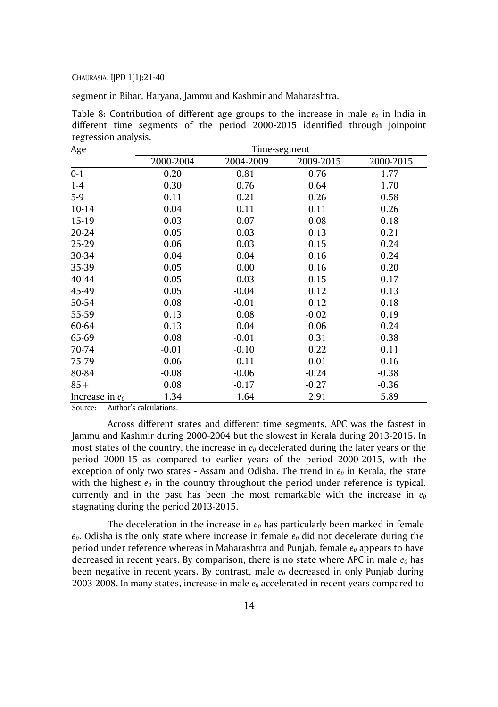segment in Bihar, Haryana, Jammu and Kashmir and Maharashtra.

Table 8: Contribution of different age groups to the increase in male *e<sup>0</sup>* in India in different time segments of the period 2000-2015 identified through joinpoint regression analysis.

| Age               | Time-segment |           |           |           |  |  |  |  |  |  |  |
|-------------------|--------------|-----------|-----------|-----------|--|--|--|--|--|--|--|
|                   | 2000-2004    | 2004-2009 | 2009-2015 | 2000-2015 |  |  |  |  |  |  |  |
| $0 - 1$           | 0.20         | 0.81      | 0.76      | 1.77      |  |  |  |  |  |  |  |
| $1 - 4$           | 0.30         | 0.76      | 0.64      | 1.70      |  |  |  |  |  |  |  |
| $5-9$             | 0.11         | 0.21      | 0.26      | 0.58      |  |  |  |  |  |  |  |
| $10 - 14$         | 0.04         | 0.11      | 0.11      | 0.26      |  |  |  |  |  |  |  |
| 15-19             | 0.03         | 0.07      | 0.08      | 0.18      |  |  |  |  |  |  |  |
| 20-24             | 0.05         | 0.03      | 0.13      | 0.21      |  |  |  |  |  |  |  |
| 25-29             | 0.06         | 0.03      | 0.15      | 0.24      |  |  |  |  |  |  |  |
| 30-34             | 0.04         | 0.04      | 0.16      | 0.24      |  |  |  |  |  |  |  |
| 35-39             | 0.05         | 0.00      | 0.16      | 0.20      |  |  |  |  |  |  |  |
| 40-44             | 0.05         | $-0.03$   | 0.15      | 0.17      |  |  |  |  |  |  |  |
| 45-49             | 0.05         | $-0.04$   | 0.12      | 0.13      |  |  |  |  |  |  |  |
| 50-54             | 0.08         | $-0.01$   | 0.12      | 0.18      |  |  |  |  |  |  |  |
| 55-59             | 0.13         | 0.08      | $-0.02$   | 0.19      |  |  |  |  |  |  |  |
| 60-64             | 0.13         | 0.04      | 0.06      | 0.24      |  |  |  |  |  |  |  |
| 65-69             | 0.08         | $-0.01$   | 0.31      | 0.38      |  |  |  |  |  |  |  |
| 70-74             | $-0.01$      | $-0.10$   | 0.22      | 0.11      |  |  |  |  |  |  |  |
| 75-79             | $-0.06$      | $-0.11$   | 0.01      | $-0.16$   |  |  |  |  |  |  |  |
| 80-84             | $-0.08$      | $-0.06$   | $-0.24$   | $-0.38$   |  |  |  |  |  |  |  |
| $85+$             | 0.08         | $-0.17$   | $-0.27$   | $-0.36$   |  |  |  |  |  |  |  |
| Increase in $e_0$ | 1.34         | 1.64      | 2.91      | 5.89      |  |  |  |  |  |  |  |

Source: Author's calculations.

Across different states and different time segments, APC was the fastest in Jammu and Kashmir during 2000-2004 but the slowest in Kerala during 2013-2015. In most states of the country, the increase in *e<sup>0</sup>* decelerated during the later years or the period 2000-15 as compared to earlier years of the period 2000-2015, with the exception of only two states - Assam and Odisha. The trend in *e<sup>0</sup>* in Kerala, the state with the highest  $e_0$  in the country throughout the period under reference is typical. currently and in the past has been the most remarkable with the increase in  $e_0$ stagnating during the period 2013-2015.

The deceleration in the increase in *e<sup>0</sup>* has particularly been marked in female *e0*. Odisha is the only state where increase in female *e<sup>0</sup>* did not decelerate during the period under reference whereas in Maharashtra and Punjab, female *e<sup>0</sup>* appears to have decreased in recent years. By comparison, there is no state where APC in male *e<sup>0</sup>* has been negative in recent years. By contrast, male *e<sup>0</sup>* decreased in only Punjab during 2003-2008. In many states, increase in male *e<sup>0</sup>* accelerated in recent years compared to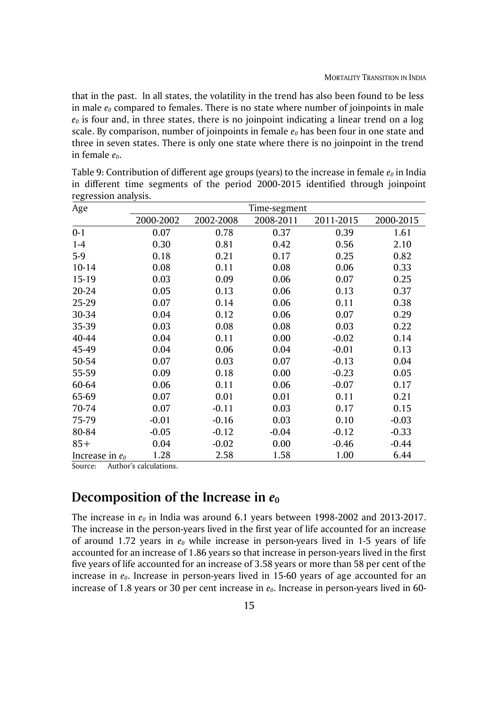that in the past. In all states, the volatility in the trend has also been found to be less in male *e<sup>0</sup>* compared to females. There is no state where number of joinpoints in male  $e_0$  is four and, in three states, there is no joinpoint indicating a linear trend on a log scale. By comparison, number of joinpoints in female *e<sup>0</sup>* has been four in one state and three in seven states. There is only one state where there is no joinpoint in the trend in female *e0*.

Table 9: Contribution of different age groups (years) to the increase in female *e<sup>0</sup>* in India in different time segments of the period 2000-2015 identified through joinpoint regression analysis.

| Age               | Time-segment |           |           |           |           |  |  |  |  |
|-------------------|--------------|-----------|-----------|-----------|-----------|--|--|--|--|
|                   | 2000-2002    | 2002-2008 | 2008-2011 | 2011-2015 | 2000-2015 |  |  |  |  |
| $0 - 1$           | 0.07         | 0.78      | 0.37      | 0.39      | 1.61      |  |  |  |  |
| $1 - 4$           | 0.30         | 0.81      | 0.42      | 0.56      | 2.10      |  |  |  |  |
| $5-9$             | 0.18         | 0.21      | 0.17      | 0.25      | 0.82      |  |  |  |  |
| $10 - 14$         | 0.08         | 0.11      | 0.08      | 0.06      | 0.33      |  |  |  |  |
| $15-19$           | 0.03         | 0.09      | 0.06      | 0.07      | 0.25      |  |  |  |  |
| 20-24             | 0.05         | 0.13      | 0.06      | 0.13      | 0.37      |  |  |  |  |
| 25-29             | 0.07         | 0.14      | 0.06      | 0.11      | 0.38      |  |  |  |  |
| 30-34             | 0.04         | 0.12      | 0.06      | 0.07      | 0.29      |  |  |  |  |
| 35-39             | 0.03         | 0.08      | 0.08      | 0.03      | 0.22      |  |  |  |  |
| 40-44             | 0.04         | 0.11      | 0.00      | $-0.02$   | 0.14      |  |  |  |  |
| 45-49             | 0.04         | 0.06      | 0.04      | $-0.01$   | 0.13      |  |  |  |  |
| 50-54             | 0.07         | 0.03      | 0.07      | $-0.13$   | 0.04      |  |  |  |  |
| 55-59             | 0.09         | 0.18      | 0.00      | $-0.23$   | 0.05      |  |  |  |  |
| 60-64             | 0.06         | 0.11      | 0.06      | $-0.07$   | 0.17      |  |  |  |  |
| 65-69             | 0.07         | 0.01      | 0.01      | 0.11      | 0.21      |  |  |  |  |
| 70-74             | 0.07         | $-0.11$   | 0.03      | 0.17      | 0.15      |  |  |  |  |
| 75-79             | $-0.01$      | $-0.16$   | 0.03      | 0.10      | $-0.03$   |  |  |  |  |
| 80-84             | $-0.05$      | $-0.12$   | $-0.04$   | $-0.12$   | $-0.33$   |  |  |  |  |
| $85+$             | 0.04         | $-0.02$   | 0.00      | $-0.46$   | $-0.44$   |  |  |  |  |
| Increase in $e_0$ | 1.28         | 2.58      | 1.58      | 1.00      | 6.44      |  |  |  |  |

Source: Author's calculations.

# **Decomposition of the Increase in** *e***<sup>0</sup>**

The increase in *e<sup>0</sup>* in India was around 6.1 years between 1998-2002 and 2013-2017. The increase in the person-years lived in the first year of life accounted for an increase of around 1.72 years in *e<sup>0</sup>* while increase in person-years lived in 1-5 years of life accounted for an increase of 1.86 years so that increase in person-years lived in the first five years of life accounted for an increase of 3.58 years or more than 58 per cent of the increase in  $e_0$ . Increase in person-years lived in 15-60 years of age accounted for an increase of 1.8 years or 30 per cent increase in *e0*. Increase in person-years lived in 60-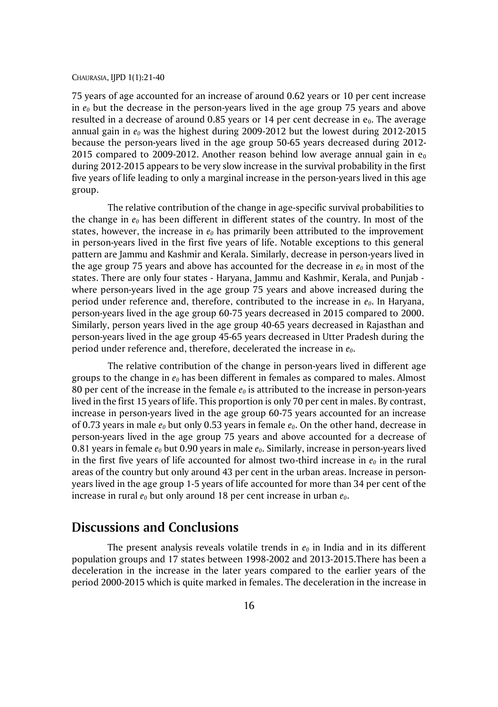75 years of age accounted for an increase of around 0.62 years or 10 per cent increase in  $e_0$  but the decrease in the person-years lived in the age group 75 years and above resulted in a decrease of around 0.85 years or 14 per cent decrease in  $e_0$ . The average annual gain in *e<sup>0</sup>* was the highest during 2009-2012 but the lowest during 2012-2015 because the person-years lived in the age group 50-65 years decreased during 2012- 2015 compared to 2009-2012. Another reason behind low average annual gain in  $e_0$ during 2012-2015 appears to be very slow increase in the survival probability in the first five years of life leading to only a marginal increase in the person-years lived in this age group.

The relative contribution of the change in age-specific survival probabilities to the change in *e<sup>0</sup>* has been different in different states of the country. In most of the states, however, the increase in *e<sup>0</sup>* has primarily been attributed to the improvement in person-years lived in the first five years of life. Notable exceptions to this general pattern are Jammu and Kashmir and Kerala. Similarly, decrease in person-years lived in the age group 75 years and above has accounted for the decrease in  $e_0$  in most of the states. There are only four states - Haryana, Jammu and Kashmir, Kerala, and Punjab where person-years lived in the age group 75 years and above increased during the period under reference and, therefore, contributed to the increase in *e0*. In Haryana, person-years lived in the age group 60-75 years decreased in 2015 compared to 2000. Similarly, person years lived in the age group 40-65 years decreased in Rajasthan and person-years lived in the age group 45-65 years decreased in Utter Pradesh during the period under reference and, therefore, decelerated the increase in *e0*.

The relative contribution of the change in person-years lived in different age groups to the change in *e<sup>0</sup>* has been different in females as compared to males. Almost 80 per cent of the increase in the female *e<sup>0</sup>* is attributed to the increase in person-years lived in the first 15 years of life. This proportion is only 70 per cent in males. By contrast, increase in person-years lived in the age group 60-75 years accounted for an increase of 0.73 years in male *e<sup>0</sup>* but only 0.53 years in female *e0*. On the other hand, decrease in person-years lived in the age group 75 years and above accounted for a decrease of 0.81 years in female *e<sup>0</sup>* but 0.90 years in male *e0*. Similarly, increase in person-years lived in the first five years of life accounted for almost two-third increase in *e<sup>0</sup>* in the rural areas of the country but only around 43 per cent in the urban areas. Increase in personyears lived in the age group 1-5 years of life accounted for more than 34 per cent of the increase in rural *e<sup>0</sup>* but only around 18 per cent increase in urban *e0*.

## **Discussions and Conclusions**

The present analysis reveals volatile trends in *e<sup>0</sup>* in India and in its different population groups and 17 states between 1998-2002 and 2013-2015.There has been a deceleration in the increase in the later years compared to the earlier years of the period 2000-2015 which is quite marked in females. The deceleration in the increase in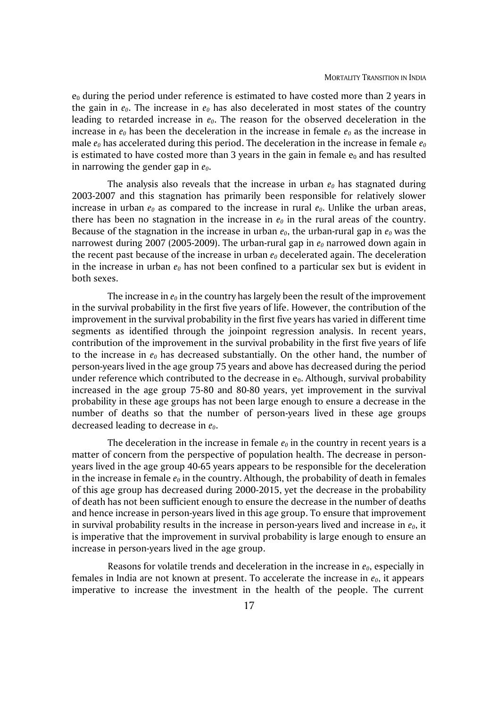$e_0$  during the period under reference is estimated to have costed more than 2 years in the gain in  $e_0$ . The increase in  $e_0$  has also decelerated in most states of the country leading to retarded increase in *e0*. The reason for the observed deceleration in the increase in  $e_0$  has been the deceleration in the increase in female  $e_0$  as the increase in male  $e_0$  has accelerated during this period. The deceleration in the increase in female  $e_0$ is estimated to have costed more than 3 years in the gain in female  $e_0$  and has resulted in narrowing the gender gap in *e0*.

The analysis also reveals that the increase in urban  $e_0$  has stagnated during 2003-2007 and this stagnation has primarily been responsible for relatively slower increase in urban  $e_0$  as compared to the increase in rural  $e_0$ . Unlike the urban areas, there has been no stagnation in the increase in *e<sup>0</sup>* in the rural areas of the country. Because of the stagnation in the increase in urban  $e_0$ , the urban-rural gap in  $e_0$  was the narrowest during 2007 (2005-2009). The urban-rural gap in *e<sup>0</sup>* narrowed down again in the recent past because of the increase in urban *e<sup>0</sup>* decelerated again. The deceleration in the increase in urban *e<sup>0</sup>* has not been confined to a particular sex but is evident in both sexes.

The increase in  $e_0$  in the country has largely been the result of the improvement in the survival probability in the first five years of life. However, the contribution of the improvement in the survival probability in the first five years has varied in different time segments as identified through the joinpoint regression analysis. In recent years, contribution of the improvement in the survival probability in the first five years of life to the increase in  $e_0$  has decreased substantially. On the other hand, the number of person-years lived in the age group 75 years and above has decreased during the period under reference which contributed to the decrease in  $e_0$ . Although, survival probability increased in the age group 75-80 and 80-80 years, yet improvement in the survival probability in these age groups has not been large enough to ensure a decrease in the number of deaths so that the number of person-years lived in these age groups decreased leading to decrease in *e0*.

The deceleration in the increase in female *e<sup>0</sup>* in the country in recent years is a matter of concern from the perspective of population health. The decrease in personyears lived in the age group 40-65 years appears to be responsible for the deceleration in the increase in female *e<sup>0</sup>* in the country. Although, the probability of death in females of this age group has decreased during 2000-2015, yet the decrease in the probability of death has not been sufficient enough to ensure the decrease in the number of deaths and hence increase in person-years lived in this age group. To ensure that improvement in survival probability results in the increase in person-years lived and increase in *e0*, it is imperative that the improvement in survival probability is large enough to ensure an increase in person-years lived in the age group.

Reasons for volatile trends and deceleration in the increase in *e0*, especially in females in India are not known at present. To accelerate the increase in *e0*, it appears imperative to increase the investment in the health of the people. The current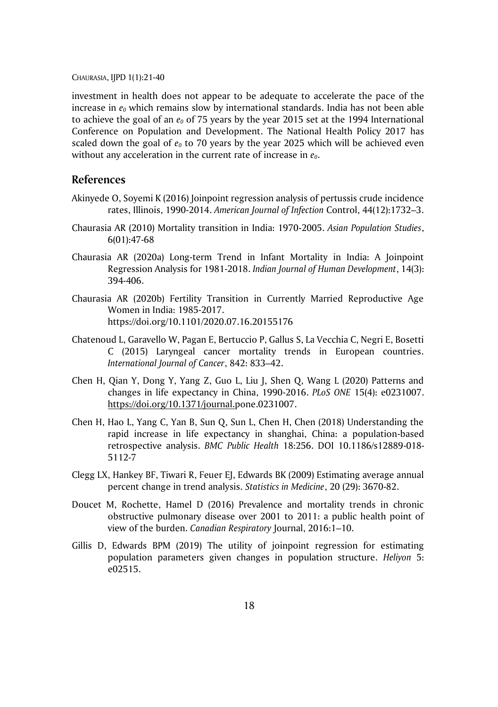investment in health does not appear to be adequate to accelerate the pace of the increase in *e<sup>0</sup>* which remains slow by international standards. India has not been able to achieve the goal of an *e<sup>0</sup>* of 75 years by the year 2015 set at the 1994 International Conference on Population and Development. The National Health Policy 2017 has scaled down the goal of  $e_0$  to 70 years by the year 2025 which will be achieved even without any acceleration in the current rate of increase in *e0*.

#### **References**

- Akinyede O, Soyemi K (2016) Joinpoint regression analysis of pertussis crude incidence rates, Illinois, 1990-2014. *American Journal of Infection* Control, 44(12):1732–3.
- Chaurasia AR (2010) Mortality transition in India: 1970-2005. *Asian Population Studies*, 6(01):47-68
- Chaurasia AR (2020a) Long-term Trend in Infant Mortality in India: A Joinpoint Regression Analysis for 1981-2018. *Indian Journal of Human Development*, 14(3): 394-406.
- Chaurasia AR (2020b) Fertility Transition in Currently Married Reproductive Age Women in India: 1985-2017. https://doi.org/10.1101/2020.07.16.20155176
- Chatenoud L, Garavello W, Pagan E, Bertuccio P, Gallus S, La Vecchia C, Negri E, Bosetti C (2015) Laryngeal cancer mortality trends in European countries. *International Journal of Cancer*, 842: 833–42.
- Chen H, Qian Y, Dong Y, Yang Z, Guo L, Liu J, Shen Q, Wang L (2020) Patterns and changes in life expectancy in China, 1990-2016. *PLoS ONE* 15(4): e0231007. [https://doi.org/10.1371/journal.p](https://doi.org/10.1371/journal.)one.0231007.
- Chen H, Hao L, Yang C, Yan B, Sun Q, Sun L, Chen H, Chen (2018) Understanding the rapid increase in life expectancy in shanghai, China: a population-based retrospective analysis. *BMC Public Health* 18:256. DOI 10.1186/s12889-018- 5112-7
- Clegg LX, Hankey BF, Tiwari R, Feuer EJ, Edwards BK (2009) Estimating average annual percent change in trend analysis. *Statistics in Medicine*, 20 (29): 3670-82.
- Doucet M, Rochette, Hamel D (2016) Prevalence and mortality trends in chronic obstructive pulmonary disease over 2001 to 2011: a public health point of view of the burden. *Canadian Respiratory* Journal, 2016:1–10.
- Gillis D, Edwards BPM (2019) The utility of joinpoint regression for estimating population parameters given changes in population structure. *Heliyon* 5: e02515.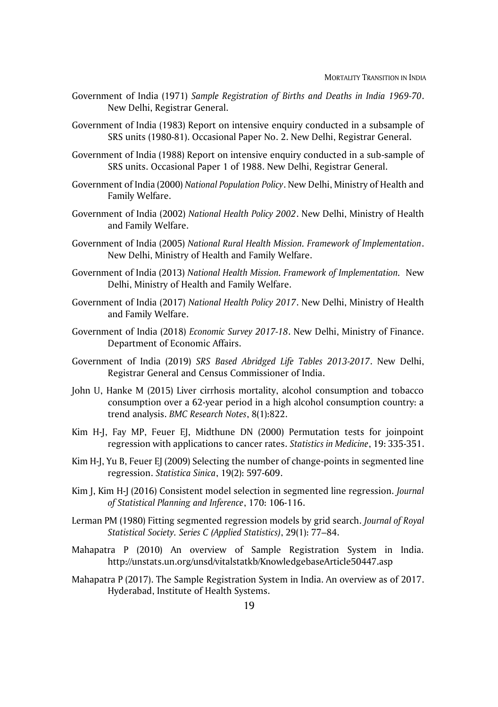- Government of India (1971) *Sample Registration of Births and Deaths in India 1969-70*. New Delhi, Registrar General.
- Government of India (1983) Report on intensive enquiry conducted in a subsample of SRS units (1980-81). Occasional Paper No. 2. New Delhi, Registrar General.
- Government of India (1988) Report on intensive enquiry conducted in a sub-sample of SRS units. Occasional Paper 1 of 1988. New Delhi, Registrar General.
- Government of India (2000) *National Population Policy*. New Delhi, Ministry of Health and Family Welfare.
- Government of India (2002) *National Health Policy 2002*. New Delhi, Ministry of Health and Family Welfare.
- Government of India (2005) *National Rural Health Mission. Framework of Implementation*. New Delhi, Ministry of Health and Family Welfare.
- Government of India (2013) *National Health Mission. Framework of Implementation.* New Delhi, Ministry of Health and Family Welfare.
- Government of India (2017) *National Health Policy 2017*. New Delhi, Ministry of Health and Family Welfare.
- Government of India (2018) *Economic Survey 2017-18*. New Delhi, Ministry of Finance. Department of Economic Affairs.
- Government of India (2019) *SRS Based Abridged Life Tables 2013-2017*. New Delhi, Registrar General and Census Commissioner of India.
- John U, Hanke M (2015) Liver cirrhosis mortality, alcohol consumption and tobacco consumption over a 62-year period in a high alcohol consumption country: a trend analysis. *BMC Research Notes*, 8(1):822.
- Kim H-J, Fay MP, Feuer EJ, Midthune DN (2000) Permutation tests for joinpoint regression with applications to cancer rates. *Statistics in Medicine*, 19: 335-351.
- Kim H-J, Yu B, Feuer EJ (2009) Selecting the number of change-points in segmented line regression. *Statistica Sinica*, 19(2): 597-609.
- Kim J, Kim H-J (2016) Consistent model selection in segmented line regression. *Journal of Statistical Planning and Inference*, 170: 106-116.
- Lerman PM (1980) Fitting segmented regression models by grid search. *Journal of Royal Statistical Society. Series C (Applied Statistics)*, 29(1): 77–84.
- Mahapatra P (2010) An overview of Sample Registration System in India. http://unstats.un.org/unsd/vitalstatkb/KnowledgebaseArticle50447.asp
- Mahapatra P (2017). The Sample Registration System in India. An overview as of 2017. Hyderabad, Institute of Health Systems.